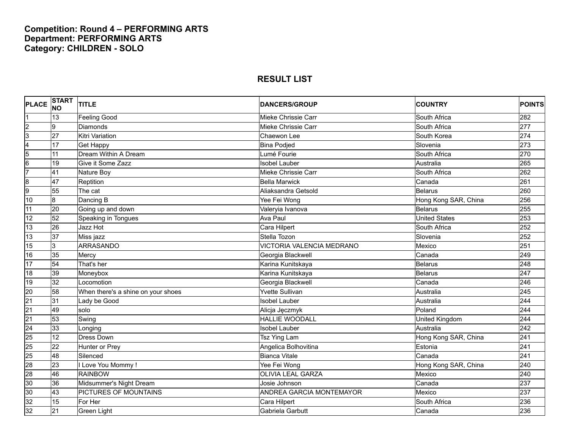## **Competition: Round 4 – PERFORMING ARTS Department: PERFORMING ARTS Category: CHILDREN - SOLO**

| <b>PLACE</b>    | START<br>NO     | <b>TITLE</b>                       | <b>DANCERS/GROUP</b>            | <b>COUNTRY</b>       | <b>POINTS</b> |
|-----------------|-----------------|------------------------------------|---------------------------------|----------------------|---------------|
| 1               | 13              | <b>Feeling Good</b>                | Mieke Chrissie Carr             | South Africa         | 282           |
|                 | 9               | Diamonds                           | Mieke Chrissie Carr             | South Africa         | 277           |
| $\frac{2}{3}$   | 27              | Kitri Variation                    | Chaewon Lee                     | South Korea          | 274           |
| 4               | 17              | <b>Get Happy</b>                   | <b>Bina Podjed</b>              | Slovenia             | 273           |
| $\overline{5}$  | 11              | Dream Within A Dream               | Lumé Fourie                     | South Africa         | 270           |
| $\frac{6}{7}$   | 19              | Give it Some Zazz                  | <b>Isobel Lauber</b>            | Australia            | 265           |
|                 | $\overline{41}$ | Nature Boy                         | Mieke Chrissie Carr             | South Africa         | 262           |
| $\frac{8}{9}$   | $\overline{47}$ | Reptition                          | <b>Bella Marwick</b>            | Canada               | 261           |
|                 | 55              | The cat                            | Aliaksandra Getsold             | <b>Belarus</b>       | 260           |
| 10              | 8               | Dancing B                          | Yee Fei Wong                    | Hong Kong SAR, China | 256           |
| $\overline{11}$ | 20              | Going up and down                  | Valeryia Ivanova                | <b>Belarus</b>       | 255           |
| 12              | 52              | Speaking in Tongues                | <b>Ava Paul</b>                 | <b>United States</b> | 253           |
| 13              | 26              | Jazz Hot                           | Cara Hilpert                    | South Africa         | 252           |
| 13              | $\overline{37}$ | Miss jazz                          | Stella Tozon                    | Slovenia             | 252           |
| 15              | نا              | <b>ARRASANDO</b>                   | VICTORIA VALENCIA MEDRANO       | Mexico               | 251           |
| 16              | 35              | Mercy                              | Georgia Blackwell               | Canada               | 249           |
| 17              | 54              | That's her                         | Karina Kunitskaya               | Belarus              | 248           |
| 18              | 39              | Moneybox                           | Karina Kunitskaya               | <b>Belarus</b>       | 247           |
| 19              | 32              | Locomotion                         | Georgia Blackwell               | Canada               | 246           |
| 20              | 58              | When there's a shine on your shoes | <b>Yvette Sullivan</b>          | Australia            | 245           |
| $\overline{21}$ | 31              | Lady be Good                       | <b>Isobel Lauber</b>            | Australia            | 244           |
|                 | 49              | solo                               | Alicja Jęczmyk                  | Poland               | 244           |
| $\frac{21}{21}$ | 53              | Swing                              | <b>HALLIE WOODALL</b>           | United Kingdom       | 244           |
| $\overline{24}$ | 33              | Longing                            | <b>Isobel Lauber</b>            | Australia            | 242           |
| 25              | 12              | <b>Dress Down</b>                  | Tsz Ying Lam                    | Hong Kong SAR, China | 241           |
| 25              | $\overline{22}$ | Hunter or Prey                     | Angelica Bolhovitina            | Estonia              | 241           |
| $\overline{25}$ | 48              | Silenced                           | <b>Bianca Vitale</b>            | Canada               | 241           |
| 28              | 23              | I Love You Mommy!                  | Yee Fei Wong                    | Hong Kong SAR, China | 240           |
| 28              | 46              | <b>RAINBOW</b>                     | <b>OLIVIA LEAL GARZA</b>        | Mexico               | 240           |
| 30              | 36              | Midsummer's Night Dream            | Josie Johnson                   | Canada               | 237           |
| 30              | $ 43\rangle$    | PICTURES OF MOUNTAINS              | <b>ANDREA GARCIA MONTEMAYOR</b> | Mexico               | 237           |
| 32              | 15              | For Her                            | Cara Hilpert                    | South Africa         | 236           |
| 32              | 21              | Green Light                        | Gabriela Garbutt                | Canada               | 236           |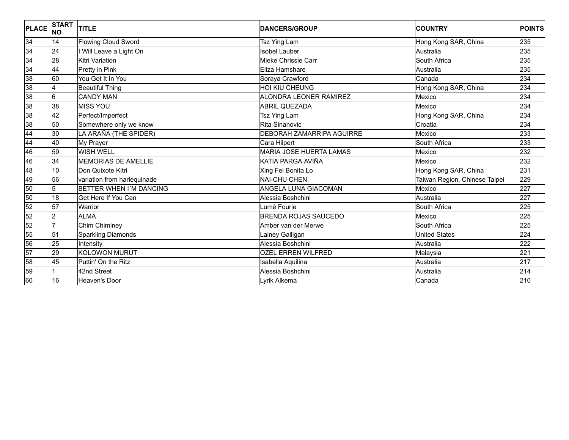| <b>PLACE</b>    | <b>START</b><br><b>NO</b> | <b>TITLE</b>                | <b>DANCERS/GROUP</b>             | <b>COUNTRY</b>                | <b>POINTS</b> |
|-----------------|---------------------------|-----------------------------|----------------------------------|-------------------------------|---------------|
| 34              | 14                        | <b>Flowing Cloud Sword</b>  | Tsz Ying Lam                     | Hong Kong SAR, China          | 235           |
| $\frac{34}{34}$ | 24                        | I Will Leave a Light On     | <b>Isobel Lauber</b>             | Australia                     | 235           |
|                 | 28                        | Kitri Variation             | Mieke Chrissie Carr              | South Africa                  | 235           |
| $\frac{34}{38}$ | 44                        | Pretty in Pink              | Eliza Hamshare                   | Australia                     | 235           |
|                 | l60                       | You Got It In You           | Soraya Crawford                  | Canada                        | 234           |
|                 | 4                         | <b>Beautiful Thing</b>      | HOI KIU CHEUNG                   | Hong Kong SAR, China          | 234           |
| $\frac{8}{8}$   | 6                         | <b>CANDY MAN</b>            | ALONDRA LEONER RAMIREZ           | Mexico                        | 234           |
|                 | 38                        | <b>MISS YOU</b>             | <b>ABRIL QUEZADA</b>             | Mexico                        | 234           |
| $rac{38}{38}$   | 42                        | Perfect/Imperfect           | <b>Tsz Ying Lam</b>              | Hong Kong SAR, China          | 234           |
|                 | 50                        | Somewhere only we know      | Rita Sinanovic                   | Croatia                       | 234           |
| 44<br>44<br>46  | 30                        | LA ARAÑA (THE SPIDER)       | <b>DEBORAH ZAMARRIPA AGUIRRE</b> | Mexico                        | 233           |
|                 | 40                        | My Prayer                   | Cara Hilpert                     | South Africa                  | 233           |
|                 | 59                        | <b>WISH WELL</b>            | <b>MARIA JOSE HUERTA LAMAS</b>   | Mexico                        | 232           |
| 46              | 34                        | <b>MEMORIAS DE AMELLIE</b>  | KATIA PARGA AVIÑA                | Mexico                        | 232           |
| 48              | 10                        | Don Quixote Kitri           | Xing Fei Bonita Lo               | Hong Kong SAR, China          | 231           |
| 49              | 56                        | variation from harlequinade | NAI-CHU CHEN,                    | Taiwan Region, Chinese Taipei | 229           |
| 50              | 5                         | BETTER WHEN I'M DANCING     | <b>ANGELA LUNA GIACOMAN</b>      | Mexico                        | 227           |
| 50              | 18                        | Get Here If You Can         | Alessia Boshchini                | Australia                     | 227           |
| $\frac{52}{52}$ | $\overline{57}$           | Warrior                     | Lumé Fourie                      | South Africa                  | 225           |
|                 | 2                         | <b>ALMA</b>                 | <b>BRENDA ROJAS SAUCEDO</b>      | Mexico                        | 225           |
|                 | 7                         | Chim Chiminey               | Amber van der Merwe              | South Africa                  | 225           |
| $\frac{52}{55}$ | 51                        | <b>Sparkling Diamonds</b>   | Lainey Galligan                  | <b>United States</b>          | 224           |
| 56              | 25                        | Intensity                   | Alessia Boshchini                | Australia                     | 222           |
| 57              | 29                        | <b>KOLOWON MURUT</b>        | <b>OZEL ERREN WILFRED</b>        | Malaysia                      | 221           |
| 58              | 45                        | Puttin' On the Ritz         | Isabella Aquilina                | Australia                     | 217           |
| 59              |                           | 42nd Street                 | Alessia Boshchini                | Australia                     | 214           |
| 60              | 16                        | <b>Heaven's Door</b>        | Lyrik Alkema                     | Canada                        | 210           |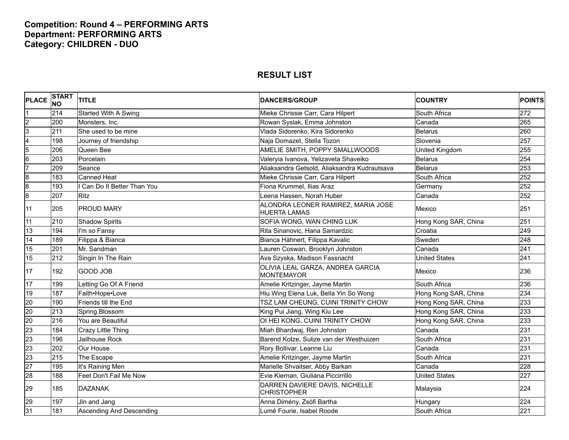## **Competition: Round 4 – PERFORMING ARTS Department: PERFORMING ARTS Category: CHILDREN - DUO**

| <b>PLACE</b>            | <b>START</b><br><b>NO</b> | <b>TITLE</b>              | <b>DANCERS/GROUP</b>                                      | <b>COUNTRY</b>       | <b>POINTS</b> |
|-------------------------|---------------------------|---------------------------|-----------------------------------------------------------|----------------------|---------------|
|                         | 214                       | Started With A Swing      | Mieke Chrissie Carr, Cara Hilpert                         | South Africa         | 272           |
| $\overline{c}$          | 200                       | Monsters, Inc.            | Rowan Syslak, Emma Johnston                               | Canada               | 265           |
| $\overline{3}$          | 211                       | She used to be mine       | Vlada Sidorenko, Kira Sidorenko                           | <b>Belarus</b>       | 260           |
| $\overline{\mathbf{4}}$ | 198                       | Journey of friendship     | Naja Domazet, Stella Tozon                                | Slovenia             | 257           |
| $\overline{5}$          | 206                       | Queen Bee                 | AMELIE SMITH, POPPY SMALLWOODS                            | United Kingdom       | 255           |
| $\overline{6}$          | 203                       | Porcelain                 | Valeryia Ivanova, Yelizaveta Shaveiko                     | <b>Belarus</b>       | 254           |
| 7                       | 209                       | Seance                    | Aliaksandra Getsold, Aliaksandra Kudrautsava              | <b>Belarus</b>       | 253           |
| $\overline{8}$          | 183                       | <b>Canned Heat</b>        | Mieke Chrissie Carr, Cara Hilpert                         | South Africa         | 252           |
| $\overline{8}$          | 193                       | Can Do It Better Than You | Fiona Krummel, Ilias Araz                                 | Germany              | 252           |
| $\overline{8}$          | 207                       | <b>Ritz</b>               | eena Hassen, Norah Huber                                  | Canada               | 252           |
| 11                      | 205                       | <b>PROUD MARY</b>         | ALONDRA LEONER RAMIREZ, MARIA JOSE<br><b>HUERTA LAMAS</b> | Mexico               | 251           |
| 11                      | 210                       | <b>Shadow Spirits</b>     | SOFIA WONG, WAN CHING LUK                                 | Hong Kong SAR, China | 251           |
| 13                      | 194                       | I'm so Fansy              | Rita Sinanovic, Hana Samardzic                            | Croatia              | 249           |
| 14                      | 189                       | Filippa & Bianca          | Bianca Hähnert, Filippa Kavalic                           | Sweden               | 248           |
| 15                      | 201                       | Mr. Sandman               | auren Coswan, Brooklyn Johnston                           | Canada               | 241           |
| 15                      | 212                       | Singin In The Rain        | Ava Szyska, Madison Fassnacht                             | <b>United States</b> | 241           |
| 17                      | 192                       | <b>GOOD JOB</b>           | OLIVIA LEAL GARZA, ANDREA GARCIA<br><b>MONTEMAYOR</b>     | Mexico               | 236           |
| 17                      | 199                       | Letting Go Of A Friend    | Amelie Kritzinger, Jayme Martin                           | South Africa         | 236           |
| 19                      | 187                       | Faith•Hope•Love           | Hiu Wing Elena Luk, Bella Yin So Wong                     | Hong Kong SAR, China | 234           |
| $\overline{20}$         | 190                       | Friends till the End      | TSZ LAM CHEUNG, CUINI TRINITY CHOW                        | Hong Kong SAR, China | 233           |
| 20                      | 213                       | Spring Blossom            | King Pui Jiang, Wing Kiu Lee                              | Hong Kong SAR, China | 233           |
| $\overline{20}$         | 216                       | You are Beautiful         | OI HEI KONG, CUINI TRINITY CHOW                           | Hong Kong SAR, China | 233           |
| 23                      | 184                       | Crazy Little Thing        | Miah Bhardwaj, Ren Johnston                               | Canada               | 231           |
| 23                      | 196                       | Jailhouse Rock            | Barend Kotze, Sulize van der Westhuizen                   | South Africa         | 231           |
| 23                      | 202                       | Our House                 | Rory Bollivar, Leanne Liu                                 | Canada               | 231           |
| 23                      | 215                       | The Escape                | Amelie Kritzinger, Jayme Martin                           | South Africa         | 231           |
| $\overline{27}$         | 195                       | It's Raining Men          | Marielle Shvaitser, Abby Barkan                           | Canada               | 228           |
| 28                      | 188                       | Feet Don't Fail Me Now    | Evie Kiernan, Giuliana Piccirrillo                        | <b>United States</b> | 227           |
| 29                      | 185                       | <b>DAZANAK</b>            | DARREN DAVIERE DAVIS, NICHELLE<br><b>CHRISTOPHER</b>      | Malaysia             | 224           |
| 29                      | 197                       | Jin and Jang              | Anna Dimény, Zsófi Bartha                                 | Hungary              | 224           |
| 31                      | 181                       | Ascending And Descending  | Lumé Fourie, Isabel Roode                                 | South Africa         | 221           |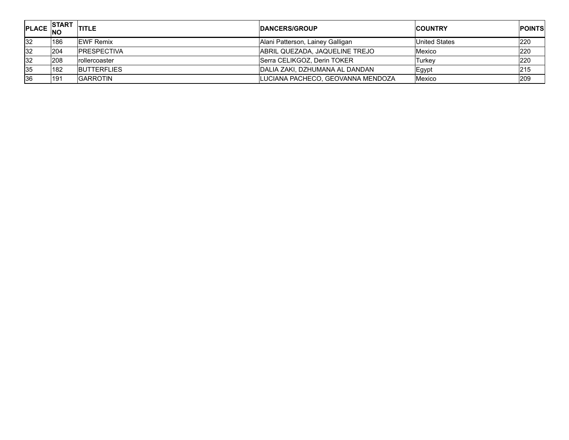| <b>PLACE</b> | <b>ISTART</b><br><b>INC</b> | <b>TITLE</b>       | <b>IDANCERS/GROUP</b>             | <b>COUNTRY</b> | <b>POINTS</b> |
|--------------|-----------------------------|--------------------|-----------------------------------|----------------|---------------|
| <b>32</b>    | 186                         | <b>IEWF Remix</b>  | Alani Patterson, Lainey Galligan  | United States  | 220           |
| <b>32</b>    | 204                         | <b>PRESPECTIVA</b> | ABRIL QUEZADA. JAQUELINE TREJO    | Mexico         | 220           |
| 32           | <b>208</b>                  | rollercoaster      | Serra CELIKGOZ, Derin TOKER       | Turkev         | 220           |
| 35           | <b>182</b>                  | <b>BUTTERFLIES</b> | IDALIA ZAKI. DZHUMANA AL DANDAN   | Egypt          | 215           |
| 36           | 191                         | <b>GARROTIN</b>    | LUCIANA PACHECO, GEOVANNA MENDOZA | Mexico         | 209           |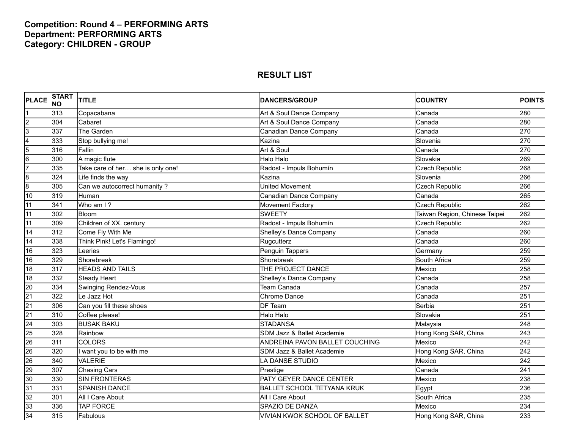## **Competition: Round 4 – PERFORMING ARTS Department: PERFORMING ARTS Category: CHILDREN - GROUP**

| <b>PLACE</b>            | <b>START</b><br><b>NO</b> | <b>TITLE</b>                      | <b>DANCERS/GROUP</b>                | <b>COUNTRY</b>                | <b>POINTS</b> |
|-------------------------|---------------------------|-----------------------------------|-------------------------------------|-------------------------------|---------------|
|                         | 313                       | Copacabana                        | Art & Soul Dance Company            | Canada                        | 280           |
| $\overline{2}$          | 304                       | Cabaret                           | Art & Soul Dance Company            | Canada                        | 280           |
| 3                       | 337                       | The Garden                        | Canadian Dance Company              | Canada                        | 270           |
| $\overline{\mathbf{4}}$ | 333                       | Stop bullying me!                 | Kazina                              | Slovenia                      | 270           |
| $\overline{5}$          | 316                       | Fallin                            | Art & Soul                          | Canada                        | 270           |
| $6\overline{6}$         | 300                       | A magic flute                     | Halo Halo                           | Slovakia                      | 269           |
| 7                       | 335                       | Take care of her she is only one! | Radost - Impuls Bohumín             | <b>Czech Republic</b>         | 268           |
| $\overline{8}$          | 324                       | Life finds the way                | Kazina                              | Slovenia                      | 266           |
| $\overline{8}$          | 305                       | Can we autocorrect humanity?      | United Movement                     | <b>Czech Republic</b>         | 266           |
| 10                      | 319                       | Human                             | Canadian Dance Company              | Canada                        | 265           |
| 11                      | 341                       | Who am I?                         | Movement Factory                    | <b>Czech Republic</b>         | 262           |
| 11                      | 302                       | <b>Bloom</b>                      | <b>SWEETY</b>                       | Taiwan Region, Chinese Taipei | 262           |
| 11                      | 309                       | Children of XX. century           | Radost - Impuls Bohumín             | Czech Republic                | 262           |
| 14                      | 312                       | Come Fly With Me                  | Shelley's Dance Company             | Canada                        | 260           |
| 14                      | 338                       | Think Pink! Let's Flamingo!       | Rugcutterz                          | Canada                        | 260           |
| 16                      | 323                       | Leeries                           | Penguin Tappers                     | Germany                       | 259           |
| 16                      | 329                       | Shorebreak                        | Shorebreak                          | South Africa                  | 259           |
| 18                      | 317                       | <b>HEADS AND TAILS</b>            | THE PROJECT DANCE                   | Mexico                        | 258           |
| 18                      | 332                       | <b>Steady Heart</b>               | Shelley's Dance Company             | Canada                        | 258           |
| 20                      | 334                       | <b>Swinging Rendez-Vous</b>       | Team Canada                         | Canada                        | 257           |
| $\overline{21}$         | 322                       | Le Jazz Hot                       | <b>Chrome Dance</b>                 | Canada                        | 251           |
| $\overline{21}$         | 306                       | Can you fill these shoes          | DF Team                             | Serbia                        | 251           |
| $\overline{21}$         | 310                       | Coffee please!                    | Halo Halo                           | Slovakia                      | 251           |
| 24                      | 303                       | <b>BUSAK BAKU</b>                 | <b>STADANSA</b>                     | Malaysia                      | 248           |
| 25                      | 328                       | Rainbow                           | SDM Jazz & Ballet Academie          | Hong Kong SAR, China          | 243           |
| 26                      | 311                       | <b>COLORS</b>                     | ANDREINA PAVON BALLET COUCHING      | Mexico                        | 242           |
| 26                      | 320                       | I want you to be with me          | SDM Jazz & Ballet Academie          | Hong Kong SAR, China          | 242           |
| 26                      | 340                       | <b>VALERIE</b>                    | LA DANSE STUDIO                     | Mexico                        | 242           |
| 29                      | 307                       | <b>Chasing Cars</b>               | Prestige                            | Canada                        | 241           |
| 30                      | 330                       | <b>SIN FRONTERAS</b>              | PATY GEYER DANCE CENTER             | Mexico                        | 238           |
| 31                      | 331                       | <b>SPANISH DANCE</b>              | <b>BALLET SCHOOL TETYANA KRUK</b>   | Egypt                         | 236           |
| 32                      | 301                       | All I Care About                  | All I Care About                    | South Africa                  | 235           |
| 33                      | 336                       | <b>TAP FORCE</b>                  | SPAZIO DE DANZA                     | Mexico                        | 234           |
| 34                      | 315                       | Fabulous                          | <b>VIVIAN KWOK SCHOOL OF BALLET</b> | Hong Kong SAR, China          | 233           |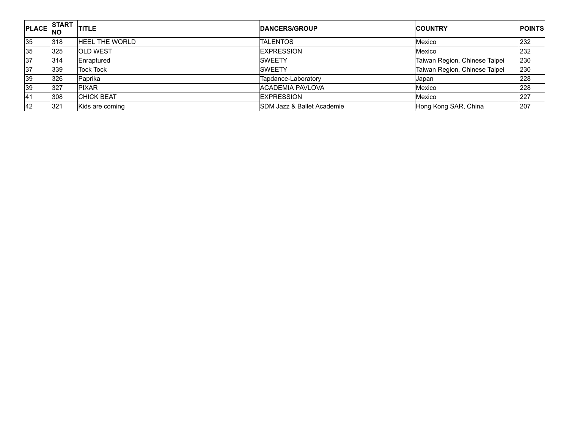| PLACE NO  | <b>START</b> | <b>ITITLE</b>         | <b>DANCERS/GROUP</b>       | <b>COUNTRY</b>                | <b>POINTS</b> |
|-----------|--------------|-----------------------|----------------------------|-------------------------------|---------------|
| 35        | 318          | <b>HEEL THE WORLD</b> | <b>TALENTOS</b>            | Mexico                        | 232           |
| 35        | 325          | <b>OLD WEST</b>       | <b>EXPRESSION</b>          | Mexico                        | 232           |
| 37        | 314          | Enraptured            | <b>SWEETY</b>              | Taiwan Region, Chinese Taipei | 230           |
| 37        | 339          | <b>Tock Tock</b>      | <b>SWEETY</b>              | Taiwan Region, Chinese Taipei | 230           |
| <b>39</b> | 326          | Paprika               | Tapdance-Laboratory        | <b>Japan</b>                  | 228           |
| 39        | 327          | <b>PIXAR</b>          | <b>ACADEMIA PAVLOVA</b>    | Mexico                        | 228           |
| 41        | 308          | <b>CHICK BEAT</b>     | EXPRESSION                 | Mexico                        | 227           |
| 42        | 321          | Kids are coming       | SDM Jazz & Ballet Academie | Hong Kong SAR, China          | 207           |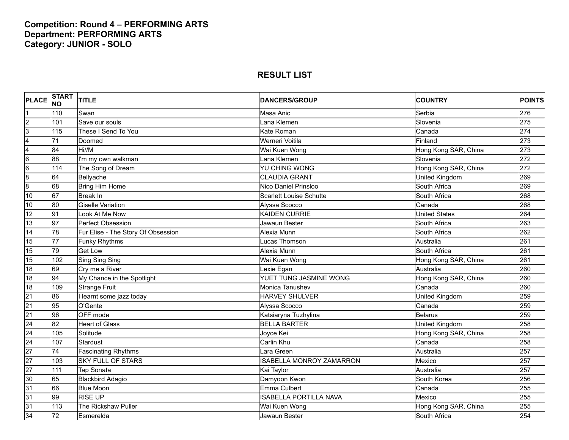## **Competition: Round 4 – PERFORMING ARTS Department: PERFORMING ARTS Category: JUNIOR - SOLO**

| <b>PLACE</b>            | <b>START</b><br><b>NO</b> | <b>TITLE</b>                       | <b>DANCERS/GROUP</b>            | <b>COUNTRY</b>        | <b>POINTS</b> |
|-------------------------|---------------------------|------------------------------------|---------------------------------|-----------------------|---------------|
|                         | 110                       | Swan                               | Masa Anic                       | Serbia                | 276           |
| $\overline{c}$          | 101                       | Save our souls                     | Lana Klemen                     | Slovenia              | 275           |
| $\overline{3}$          | 115                       | These I Send To You                | Kate Roman                      | Canada                | 274           |
| $\overline{\mathbf{4}}$ | 71                        | Doomed                             | Werneri Voitila                 | Finland               | 273           |
| 4                       | 84                        | Hi//M                              | Wai Kuen Wong                   | Hong Kong SAR, China  | 273           |
| $6\overline{6}$         | 88                        | I'm my own walkman                 | Lana Klemen                     | Slovenia              | 272           |
| $6\overline{6}$         | 114                       | The Song of Dream                  | <b>YU CHING WONG</b>            | Hong Kong SAR, China  | 272           |
| $\overline{8}$          | 64                        | Bellyache                          | <b>CLAUDIA GRANT</b>            | <b>United Kingdom</b> | 269           |
| $\overline{8}$          | 68                        | <b>Bring Him Home</b>              | Nico Daniel Prinsloo            | South Africa          | 269           |
| 10                      | 67                        | <b>Break In</b>                    | <b>Scarlett Louise Schutte</b>  | South Africa          | 268           |
| 10                      | 80                        | <b>Giselle Variation</b>           | Alyssa Scocco                   | Canada                | 268           |
| 12                      | 91                        | Look At Me Now                     | <b>KAIDEN CURRIE</b>            | <b>United States</b>  | 264           |
| 13                      | 97                        | Perfect Obsession                  | Jawaun Bester                   | South Africa          | 263           |
| 14                      | 78                        | Fur Elise - The Story Of Obsession | Alexia Munn                     | South Africa          | 262           |
| 15                      | 77                        | <b>Funky Rhythms</b>               | Lucas Thomson                   | Australia             | 261           |
| 15                      | 79                        | <b>Get Low</b>                     | Alexia Munn                     | South Africa          | 261           |
| 15                      | 102                       | Sing Sing Sing                     | Wai Kuen Wong                   | Hong Kong SAR, China  | 261           |
| 18                      | 69                        | Cry me a River                     | Lexie Egan                      | Australia             | 260           |
| 18                      | 94                        | My Chance in the Spotlight         | YUET TUNG JASMINE WONG          | Hong Kong SAR, China  | 260           |
| 18                      | 109                       | <b>Strange Fruit</b>               | Monica Tanushev                 | Canada                | 260           |
| $\overline{21}$         | 86                        | I learnt some jazz today           | <b>HARVEY SHULVER</b>           | United Kingdom        | 259           |
| $\overline{21}$         | 95                        | O'Gente                            | Alyssa Scocco                   | Canada                | 259           |
| $\overline{21}$         | 96                        | OFF mode                           | Katsiaryna Tuzhylina            | <b>Belarus</b>        | 259           |
| $\overline{24}$         | 82                        | <b>Heart of Glass</b>              | <b>BELLA BARTER</b>             | United Kingdom        | 258           |
| $\overline{24}$         | 105                       | Solitude                           | Joyce Kei                       | Hong Kong SAR, China  | 258           |
| $\overline{24}$         | 107                       | <b>Stardust</b>                    | Carlin Khu                      | Canada                | 258           |
| $\overline{27}$         | 74                        | <b>Fascinating Rhythms</b>         | Lara Green                      | Australia             | 257           |
| $\overline{27}$         | 103                       | <b>SKY FULL OF STARS</b>           | <b>ISABELLA MONROY ZAMARRON</b> | Mexico                | 257           |
| $\overline{27}$         | 111                       | <b>Tap Sonata</b>                  | Kai Taylor                      | Australia             | 257           |
| 30                      | 65                        | <b>Blackbird Adagio</b>            | Damyoon Kwon                    | South Korea           | 256           |
| 31                      | 66                        | <b>Blue Moon</b>                   | Emma Culbert                    | Canada                | 255           |
| 31                      | 99                        | <b>RISE UP</b>                     | <b>ISABELLA PORTILLA NAVA</b>   | Mexico                | 255           |
| 31                      | 113                       | The Rickshaw Puller                | Wai Kuen Wong                   | Hong Kong SAR, China  | 255           |
| 34                      | 72                        | Esmerelda                          | Jawaun Bester                   | South Africa          | 254           |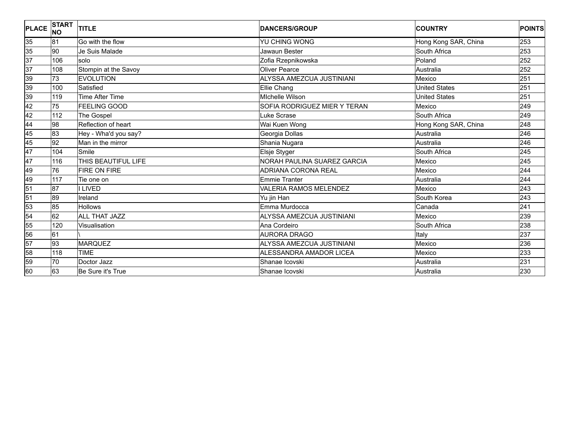| <b>PLACE</b> | <b>START</b><br><b>INO</b> | <b>TITLE</b>           | <b>DANCERS/GROUP</b>          | <b>COUNTRY</b>       | <b>POINTS</b> |
|--------------|----------------------------|------------------------|-------------------------------|----------------------|---------------|
| 35           | 81                         | Go with the flow       | YU CHING WONG                 | Hong Kong SAR, China | 253           |
| 35           | 90                         | Je Suis Malade         | Jawaun Bester                 | South Africa         | 253           |
| 37           | 106                        | solo                   | Zofia Rzepnikowska            | Poland               | 252           |
| 37           | 108                        | Stompin at the Savoy   | <b>Oliver Pearce</b>          | Australia            | 252           |
| 39           | 73                         | <b>EVOLUTION</b>       | ALYSSA AMEZCUA JUSTINIANI     | Mexico               | 251           |
| 39           | 100                        | Satisfied              | Ellie Chang                   | <b>United States</b> | 251           |
| 39           | 119                        | <b>Time After Time</b> | <b>Michelle Wilson</b>        | <b>United States</b> | 251           |
| 42           | 75                         | <b>FEELING GOOD</b>    | SOFIA RODRIGUEZ MIER Y TERAN  | Mexico               | 249           |
| 42           | 112                        | The Gospel             | Luke Scrase                   | South Africa         | 249           |
| 44           | 98                         | Reflection of heart    | Wai Kuen Wong                 | Hong Kong SAR, China | 248           |
| 45           | 83                         | Hey - Wha'd you say?   | Georgia Dollas                | Australia            | 246           |
| 45           | 92                         | Man in the mirror      | Shania Nugara                 | Australia            | 246           |
| 47           | 104                        | Smile                  | Elsje Styger                  | South Africa         | 245           |
| 47           | 116                        | THIS BEAUTIFUL LIFE    | NORAH PAULINA SUAREZ GARCIA   | Mexico               | 245           |
| 49           | 76                         | <b>FIRE ON FIRE</b>    | <b>ADRIANA CORONA REAL</b>    | Mexico               | 244           |
| 49           | 117                        | Tie one on             | Emmie Tranter                 | Australia            | 244           |
| 51           | 87                         | <b>I LIVED</b>         | <b>VALERIA RAMOS MELENDEZ</b> | Mexico               | 243           |
| 51           | 89                         | Ireland                | Yu jin Han                    | South Korea          | 243           |
| 53           | 85                         | <b>Hollows</b>         | Emma Murdocca                 | Canada               | 241           |
| 54           | 62                         | <b>ALL THAT JAZZ</b>   | ALYSSA AMEZCUA JUSTINIANI     | Mexico               | 239           |
| 55           | 120                        | Visualisation          | Ana Cordeiro                  | South Africa         | 238           |
| 56           | 61                         |                        | <b>AURORA DRAGO</b>           | Italy                | 237           |
| 57           | 93                         | <b>MARQUEZ</b>         | ALYSSA AMEZCUA JUSTINIANI     | Mexico               | 236           |
| 58           | 118                        | <b>TIME</b>            | ALESSANDRA AMADOR LICEA       | Mexico               | 233           |
| 59           | 70                         | Doctor Jazz            | Shanae Icovski                | Australia            | 231           |
| 60           | 63                         | Be Sure it's True      | Shanae Icovski                | Australia            | 230           |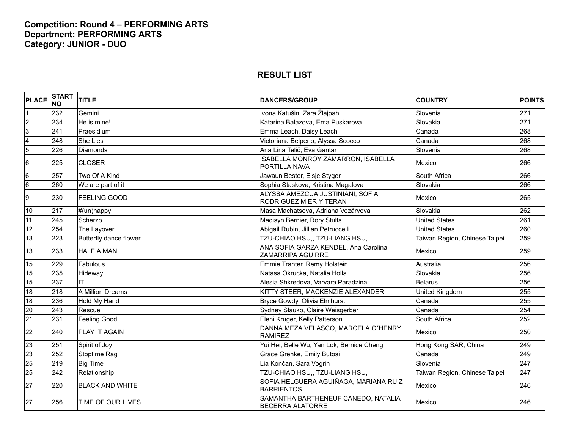## **Competition: Round 4 – PERFORMING ARTS Department: PERFORMING ARTS Category: JUNIOR - DUO**

| <b>PLACE</b>            | <b>START</b><br><b>NO</b> | <b>TITLE</b>           | <b>DANCERS/GROUP</b>                                              | <b>COUNTRY</b>                | POINTS |
|-------------------------|---------------------------|------------------------|-------------------------------------------------------------------|-------------------------------|--------|
|                         | 232                       | Gemini                 | Ivona Katušin, Zara Žlajpah                                       | Slovenia                      | 271    |
| $\overline{c}$          | 234                       | He is mine!            | Katarina Balazova, Ema Puskarova                                  | Slovakia                      | 271    |
| $\overline{3}$          | 241                       | Praesidium             | Emma Leach, Daisy Leach                                           | Canada                        | 268    |
| $\overline{\mathbf{4}}$ | 248                       | <b>She Lies</b>        | Victoriana Belperio, Alyssa Scocco                                | Canada                        | 268    |
| $\overline{5}$          | 226                       | <b>Diamonds</b>        | Ana Lina Telič, Eva Gantar                                        | Slovenia                      | 268    |
| 6                       | 225                       | <b>CLOSER</b>          | ISABELLA MONROY ZAMARRON, ISABELLA<br>PORTILLA NAVA               | Mexico                        | 266    |
| $6\overline{6}$         | 257                       | Two Of A Kind          | Jawaun Bester, Elsje Styger                                       | South Africa                  | 266    |
| $6\overline{6}$         | 260                       | We are part of it      | Sophia Staskova, Kristina Magalova                                | Slovakia                      | 266    |
| 9                       | 230                       | <b>FEELING GOOD</b>    | ALYSSA AMEZCUA JUSTINIANI, SOFIA<br><b>RODRIGUEZ MIER Y TERAN</b> | Mexico                        | 265    |
| 10                      | 217                       | #(un)happy             | Masa Machatsova, Adriana Vozáryova                                | Slovakia                      | 262    |
| 11                      | 245                       | Scherzo                | Madisyn Bernier, Rory Stults                                      | <b>United States</b>          | 261    |
| 12                      | 254                       | The Layover            | Abigail Rubin, Jillian Petruccelli                                | <b>United States</b>          | 260    |
| 13                      | 223                       | Butterfly dance flower | TZU-CHIAO HSU,, TZU-LIANG HSU,                                    | Taiwan Region, Chinese Taipei | 259    |
| 13                      | 233                       | <b>HALF A MAN</b>      | ANA SOFIA GARZA KENDEL, Ana Carolina<br>ZAMARRIPA AGUIRRE         | Mexico                        | 259    |
| 15                      | 229                       | Fabulous               | Emmie Tranter, Remy Holstein                                      | Australia                     | 256    |
| 15                      | 235                       | Hideway                | Natasa Okrucka, Natalia Holla                                     | Slovakia                      | 256    |
| 15                      | 237                       | <b>IT</b>              | Alesia Shkredova, Varvara Paradzina                               | <b>Belarus</b>                | 256    |
| 18                      | 218                       | A Million Dreams       | KITTY STEER, MACKENZIE ALEXANDER                                  | <b>United Kingdom</b>         | 255    |
| 18                      | 236                       | Hold My Hand           | Bryce Gowdy, Olivia Elmhurst                                      | Canada                        | 255    |
| 20                      | 243                       | Rescue                 | Sydney Slauko, Claire Weisgerber                                  | Canada                        | 254    |
| $\overline{21}$         | 231                       | Feeling Good           | Eleni Kruger, Kelly Patterson                                     | South Africa                  | 252    |
| 22                      | 240                       | PLAY IT AGAIN          | DANNA MEZA VELASCO, MARCELA O'HENRY<br><b>RAMIREZ</b>             | Mexico                        | 250    |
| 23                      | 251                       | Spirit of Joy          | Yui Hei, Belle Wu, Yan Lok, Bernice Cheng                         | Hong Kong SAR, China          | 249    |
| 23                      | 252                       | Stoptime Rag           | Grace Grenke, Emily Butosi                                        | Canada                        | 249    |
| 25                      | 219                       | <b>Big Time</b>        | Lia Končan, Sara Vogrin                                           | Slovenia                      | 247    |
| 25                      | 242                       | Relationship           | TZU-CHIAO HSU,, TZU-LIANG HSU,                                    | Taiwan Region, Chinese Taipei | 247    |
| 27                      | 220                       | <b>BLACK AND WHITE</b> | SOFIA HELGUERA AGUIÑAGA, MARIANA RUIZ<br><b>BARRIENTOS</b>        | Mexico                        | 246    |
| 27                      | 256                       | TIME OF OUR LIVES      | SAMANTHA BARTHENEUF CANEDO, NATALIA<br><b>BECERRA ALATORRE</b>    | Mexico                        | 246    |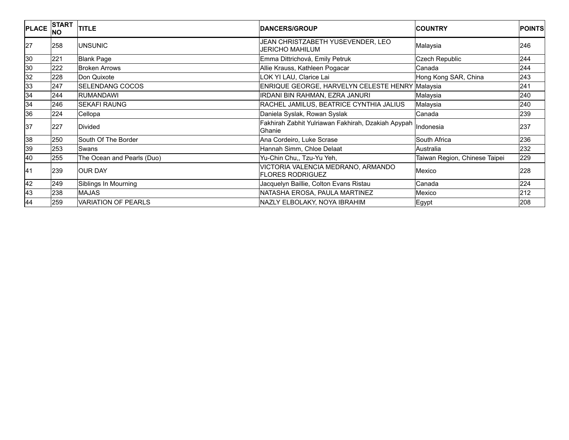| <b>PLACE</b> | <b>START</b><br><b>INO</b> | <b>TITLE</b>               | <b>DANCERS/GROUP</b>                                         | <b>ICOUNTRY</b>               | <b>POINTS</b> |
|--------------|----------------------------|----------------------------|--------------------------------------------------------------|-------------------------------|---------------|
| 27           | 258                        | <b>UNSUNIC</b>             | JEAN CHRISTZABETH YUSEVENDER, LEO<br><b>JERICHO MAHILUM</b>  | Malaysia                      | 246           |
| 30           | 221                        | <b>Blank Page</b>          | Emma Dittrichová, Emily Petruk                               | <b>Czech Republic</b>         | 244           |
| 30           | 222                        | <b>Broken Arrows</b>       | Allie Krauss, Kathleen Pogacar                               | Canada                        | 244           |
| 32           | 228                        | Don Quixote                | LOK YI LAU, Clarice Lai                                      | Hong Kong SAR, China          | 243           |
| 33           | 247                        | SELENDANG COCOS            | ENRIQUE GEORGE, HARVELYN CELESTE HENRY Malaysia              |                               | 241           |
| 34           | 244                        | <b>RUMANDAWI</b>           | <b>IRDANI BIN RAHMAN, EZRA JANURI</b>                        | Malaysia                      | 240           |
| 34           | 246                        | <b>SEKAFI RAUNG</b>        | RACHEL JAMILUS, BEATRICE CYNTHIA JALIUS                      | Malaysia                      | 240           |
| 36           | 224                        | Cellopa                    | Daniela Syslak, Rowan Syslak                                 | Canada                        | 239           |
| 37           | 227                        | Divided                    | Fakhirah Zabhit Yulriawan Fakhirah, Dzakiah Apypah<br>Ghanie | Indonesia                     | 237           |
| 38           | 250                        | South Of The Border        | Ana Cordeiro, Luke Scrase                                    | South Africa                  | 236           |
| 39           | 253                        | Swans                      | Hannah Simm, Chloe Delaat                                    | Australia                     | 232           |
| 40           | 255                        | The Ocean and Pearls (Duo) | Yu-Chin Chu,, Tzu-Yu Yeh,                                    | Taiwan Region, Chinese Taipei | 229           |
| 41           | 239                        | <b>OUR DAY</b>             | VICTORIA VALENCIA MEDRANO, ARMANDO<br>FLORES RODRIGUEZ       | Mexico                        | 228           |
| 42           | 249                        | Siblings In Mourning       | Jacquelyn Baillie, Colton Evans Ristau                       | Canada                        | 224           |
| 43           | 238                        | MAJAS                      | NATASHA EROSA, PAULA MARTINEZ                                | Mexico                        | 212           |
| 44           | 259                        | <b>VARIATION OF PEARLS</b> | NAZLY ELBOLAKY, NOYA IBRAHIM                                 | Egypt                         | 208           |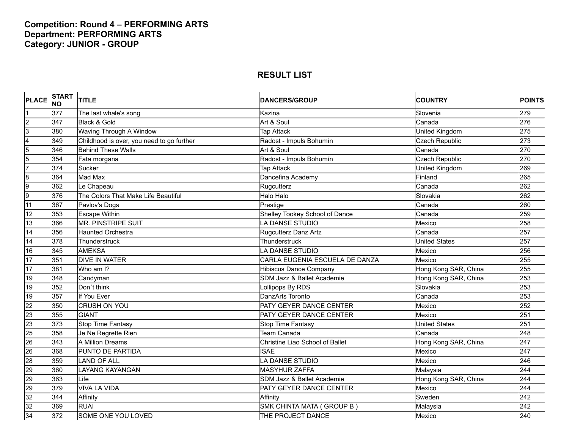## **Competition: Round 4 – PERFORMING ARTS Department: PERFORMING ARTS Category: JUNIOR - GROUP**

| <b>PLACE</b>            | <b>START</b><br><b>NO</b> | <b>TITLE</b>                              | <b>DANCERS/GROUP</b>            | <b>COUNTRY</b>        | <b>POINTS</b> |
|-------------------------|---------------------------|-------------------------------------------|---------------------------------|-----------------------|---------------|
|                         | 377                       | The last whale's song                     | Kazina                          | Slovenia              | 279           |
| $\overline{c}$          | 347                       | Black & Gold                              | Art & Soul                      | Canada                | 276           |
| 3                       | 380                       | Waving Through A Window                   | <b>Tap Attack</b>               | United Kingdom        | 275           |
| $\overline{\mathbf{4}}$ | 349                       | Childhood is over, you need to go further | Radost - Impuls Bohumín         | <b>Czech Republic</b> | 273           |
| $\overline{5}$          | 346                       | <b>Behind These Walls</b>                 | Art & Soul                      | Canada                | 270           |
| 5                       | 354                       | Fata morgana                              | Radost - Impuls Bohumín         | <b>Czech Republic</b> | 270           |
| 7                       | 374                       | Sucker                                    | <b>Tap Attack</b>               | United Kingdom        | 269           |
| $\overline{8}$          | 364                       | Mad Max                                   | Dancefina Academy               | Finland               | 265           |
| 9                       | 362                       | Le Chapeau                                | Rugcutterz                      | Canada                | 262           |
| 9                       | 376                       | The Colors That Make Life Beautiful       | Halo Halo                       | Slovakia              | 262           |
| 11                      | 367                       | Pavlov's Dogs                             | Prestige                        | Canada                | 260           |
| 12                      | 353                       | <b>Escape Within</b>                      | Shelley Tookey School of Dance  | Canada                | 259           |
| 13                      | 366                       | <b>MR. PINSTRIPE SUIT</b>                 | A DANSE STUDIO                  | Mexico                | 258           |
| 14                      | 356                       | <b>Haunted Orchestra</b>                  | Rugcutterz Danz Artz            | Canada                | 257           |
| 14                      | 378                       | Thunderstruck                             | Thunderstruck                   | United States         | 257           |
| 16                      | 345                       | <b>AMEKSA</b>                             | LA DANSE STUDIO                 | Mexico                | 256           |
| 17                      | 351                       | <b>DIVE IN WATER</b>                      | CARLA EUGENIA ESCUELA DE DANZA  | Mexico                | 255           |
| 17                      | 381                       | Who am I?                                 | <b>Hibiscus Dance Company</b>   | Hong Kong SAR, China  | 255           |
| 19                      | 348                       | Candyman                                  | SDM Jazz & Ballet Academie      | Hong Kong SAR, China  | 253           |
| 19                      | 352                       | Don't think                               | Lollipops By RDS                | Slovakia              | 253           |
| 19                      | 357                       | If You Ever                               | DanzArts Toronto                | Canada                | 253           |
| $\overline{22}$         | 350                       | <b>CRUSH ON YOU</b>                       | PATY GEYER DANCE CENTER         | Mexico                | 252           |
| 23                      | 355                       | <b>GIANT</b>                              | PATY GEYER DANCE CENTER         | Mexico                | 251           |
| 23                      | 373                       | <b>Stop Time Fantasy</b>                  | <b>Stop Time Fantasy</b>        | <b>United States</b>  | 251           |
| 25                      | 358                       | Je Ne Regrette Rien                       | Team Canada                     | Canada                | 248           |
| 26                      | 343                       | A Million Dreams                          | Christine Liao School of Ballet | Hong Kong SAR, China  | 247           |
| 26                      | 368                       | PUNTO DE PARTIDA                          | <b>ISAE</b>                     | Mexico                | 247           |
| $\overline{28}$         | 359                       | <b>LAND OF ALL</b>                        | LA DANSE STUDIO                 | Mexico                | 246           |
| 29                      | 360                       | <b>LAYANG KAYANGAN</b>                    | <b>MASYHUR ZAFFA</b>            | Malaysia              | 244           |
| 29                      | 363                       | Life                                      | SDM Jazz & Ballet Academie      | Hong Kong SAR, China  | 244           |
| 29                      | 379                       | <b>VIVA LA VIDA</b>                       | PATY GEYER DANCE CENTER         | Mexico                | 244           |
| 32                      | 344                       | Affinity                                  | Affinity                        | Sweden                | 242           |
| 32                      | 369                       | <b>RUAI</b>                               | SMK CHINTA MATA ( GROUP B )     | Malaysia              | 242           |
| 34                      | 372                       | SOME ONE YOU LOVED                        | THE PROJECT DANCE               | Mexico                | 240           |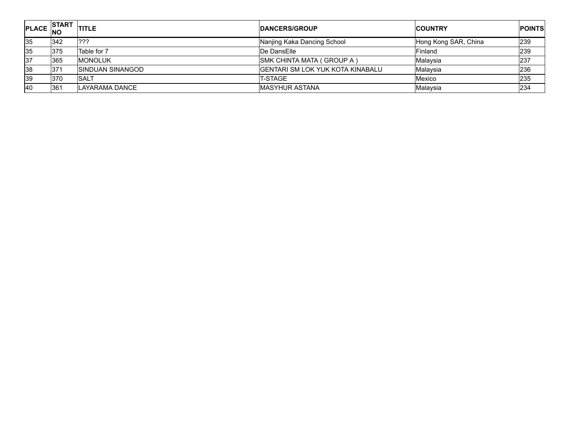| <sup>"PLACE</sup> NO | <b>ISTART</b> | <b>ITITLE</b>            | <b>IDANCERS/GROUP</b>                    | <b>COUNTRY</b>       | <b>IPOINTS</b> |
|----------------------|---------------|--------------------------|------------------------------------------|----------------------|----------------|
| 35                   | 342           | 222                      | Nanjing Kaka Dancing School              | Hong Kong SAR, China | 239            |
| 35                   | <b>375</b>    | Table for 7              | De DansElle                              | Finland              | 239            |
| 37                   | 365           | <b>MONOLUK</b>           | <b>ISMK CHINTA MATA ( GROUP A )</b>      | Malaysia             | 237            |
| 38                   | l371          | <b>ISINDUAN SINANGOD</b> | <b>IGENTARI SM LOK YUK KOTA KINABALU</b> | Malaysia             | 236            |
| 39                   | 370           | <b>ISALT</b>             | T-STAGE                                  | Mexico               | 235            |
| 40                   | 361           | <b>ILAYARAMA DANCE</b>   | IMASYHUR ASTANA                          | Malaysia             | 234            |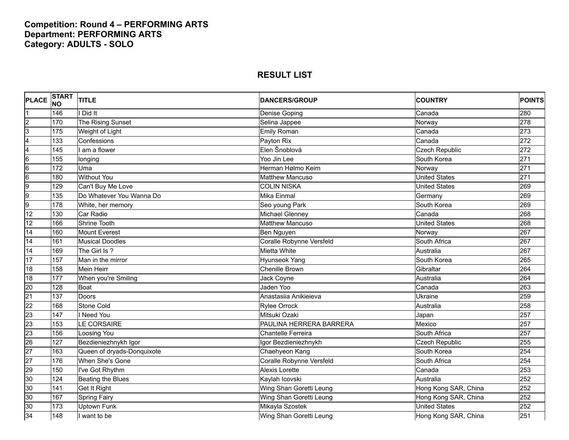## **Competition: Round 4 – PERFORMING ARTS Department: PERFORMING ARTS Category: ADULTS - SOLO**

| <b>PLACE</b>    | <b>START</b><br><b>INO</b> | <b>TITLE</b>               | <b>DANCERS/GROUP</b>     | <b>COUNTRY</b>        | <b>POINTS</b> |
|-----------------|----------------------------|----------------------------|--------------------------|-----------------------|---------------|
|                 | 146                        | Did It                     | Denise Goping            | Canada                | 280           |
| $\overline{c}$  | 170                        | The Rising Sunset          | Selina Jappee            | Norway                | 278           |
| 3               | 175                        | Weight of Light            | <b>Emily Roman</b>       | Canada                | 273           |
| 4               | 133                        | Confessions                | Payton Rix               | Canada                | 272           |
| 4               | 145                        | I am a flower              | Elen Šnoblová            | <b>Czech Republic</b> | 272           |
| 6               | 155                        | longing                    | Yoo Jin Lee              | South Korea           | 271           |
| 6               | 172                        | Uma                        | Herman Hølmo Keim        | Norway                | 271           |
| 6               | 180                        | <b>Without You</b>         | <b>Matthew Mancuso</b>   | <b>United States</b>  | 271           |
| 9               | 129                        | Can't Buy Me Love          | <b>COLIN NISKA</b>       | <b>United States</b>  | 269           |
| 9               | 135                        | Do Whatever You Wanna Do   | Mika Einmal              | Germany               | 269           |
| 9               | 178                        | White, her memory          | Seo young Park           | South Korea           | 269           |
| 12              | 130                        | Car Radio                  | <b>Michael Glenney</b>   | Canada                | 268           |
| 12              | 166                        | <b>Shrine Tooth</b>        | <b>Matthew Mancuso</b>   | <b>United States</b>  | 268           |
| 14              | 160                        | <b>Mount Everest</b>       | Ben Nguyen               | Norway                | 267           |
| 14              | 161                        | <b>Musical Doodles</b>     | Coralle Robynne Versfeld | South Africa          | 267           |
| 14              | 169                        | The Girl Is?               | Mietta White             | Australia             | 267           |
| 17              | 157                        | Man in the mirror          | Hyunseok Yang            | South Korea           | 265           |
| $\overline{18}$ | 158                        | <b>Mein Heirr</b>          | <b>Chenille Brown</b>    | Gibraltar             | 264           |
| 18              | 177                        | When you're Smiling        | Jack Coyne               | Australia             | 264           |
| $\overline{20}$ | 128                        | <b>Boat</b>                | Jaden Yoo                | Canada                | 263           |
| $\overline{21}$ | 137                        | Doors                      | Anastasiia Anikieieva    | Ukraine               | 259           |
| 22              | 168                        | <b>Stone Cold</b>          | <b>Rylee Orrock</b>      | Australia             | 258           |
| 23              | 147                        | I Need You                 | Mitsuki Ozaki            | Japan                 | 257           |
| 23              | 153                        | LE CORSAIRE                | PAULINA HERRERA BARRERA  | Mexico                | 257           |
| 23              | 156                        | Loosing You                | Chantelle Ferreira       | South Africa          | 257           |
| 26              | 127                        | Bezdieniezhnykh Igor       | Igor Bezdieniezhnykh     | <b>Czech Republic</b> | 255           |
| 27              | 163                        | Queen of dryads-Donquixote | Chaehyeon Kang           | South Korea           | 254           |
| $\overline{27}$ | 176                        | When She's Gone            | Coralle Robynne Versfeld | South Africa          | 254           |
| 29              | 150                        | I've Got Rhythm            | <b>Alexis Lorette</b>    | Canada                | 253           |
| 30              | 124                        | Beating the Blues          | Kaylah Icovski           | Australia             | 252           |
| 30              | 141                        | Get It Right               | Wing Shan Goretti Leung  | Hong Kong SAR, China  | 252           |
| 30              | 167                        | <b>Spring Fairy</b>        | Wing Shan Goretti Leung  | Hong Kong SAR, China  | 252           |
| 30              | 173                        | <b>Uptown Funk</b>         | Mikayla Szostek          | <b>United States</b>  | 252           |
| 34              | 148                        | I want to be               | Wing Shan Goretti Leung  | Hong Kong SAR, China  | 251           |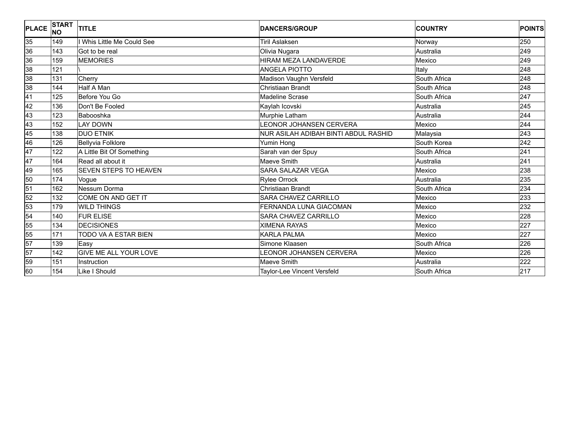| <b>PLACE</b>    | <b>START</b><br><b>NO</b> | <b>TITLE</b>                 | <b>DANCERS/GROUP</b>                 | <b>COUNTRY</b> | <b>POINTS</b> |
|-----------------|---------------------------|------------------------------|--------------------------------------|----------------|---------------|
| 35              | 149                       | I Whis Little Me Could See   | <b>Tiril Aslaksen</b>                | Norway         | 250           |
| 36              | 143                       | Got to be real               | Olivia Nugara                        | Australia      | 249           |
| 36              | 159                       | <b>MEMORIES</b>              | <b>HIRAM MEZA LANDAVERDE</b>         | Mexico         | 249           |
| 38              | 121                       |                              | ANGELA PIOTTO                        | Italy          | 248           |
| 38              | 131                       | Cherry                       | Madison Vaughn Versfeld              | South Africa   | 248           |
| 38              | 144                       | Half A Man                   | Christiaan Brandt                    | South Africa   | 248           |
| $\overline{41}$ | 125                       | Before You Go                | Madeline Scrase                      | South Africa   | 247           |
| $\overline{42}$ | 136                       | Don't Be Fooled              | Kaylah Icovski                       | Australia      | 245           |
| 43              | 123                       | Babooshka                    | Murphie Latham                       | Australia      | 244           |
| 43              | 152                       | <b>LAY DOWN</b>              | LEONOR JOHANSEN CERVERA              | Mexico         | 244           |
| 45              | 138                       | <b>DUO ETNIK</b>             | NUR ASILAH ADIBAH BINTI ABDUL RASHID | Malaysia       | 243           |
| 46              | 126                       | <b>Bellyvia Folklore</b>     | Yumin Hong                           | South Korea    | 242           |
| 47              | 122                       | A Little Bit Of Something    | Sarah van der Spuy                   | South Africa   | 241           |
| 47              | 164                       | Read all about it            | Maeve Smith                          | Australia      | 241           |
| 49              | 165                       | <b>SEVEN STEPS TO HEAVEN</b> | <b>SARA SALAZAR VEGA</b>             | Mexico         | 238           |
| 50              | 174                       | Vogue                        | <b>Rylee Orrock</b>                  | Australia      | 235           |
| 51              | 162                       | Nessum Dorma                 | Christiaan Brandt                    | South Africa   | 234           |
| 52              | 132                       | <b>COME ON AND GET IT</b>    | <b>SARA CHAVEZ CARRILLO</b>          | Mexico         | 233           |
| 53              | 179                       | <b>WILD THINGS</b>           | FERNANDA LUNA GIACOMAN               | Mexico         | 232           |
| 54              | 140                       | <b>FUR ELISE</b>             | <b>SARA CHAVEZ CARRILLO</b>          | Mexico         | 228           |
| 55              | 134                       | <b>DECISIONES</b>            | <b>XIMENA RAYAS</b>                  | Mexico         | 227           |
| 55              | 171                       | TODO VA A ESTAR BIEN         | <b>KARLA PALMA</b>                   | Mexico         | 227           |
| 57              | 139                       | Easy                         | Simone Klaasen                       | South Africa   | 226           |
| 57              | 142                       | <b>GIVE ME ALL YOUR LOVE</b> | <b>EONOR JOHANSEN CERVERA</b>        | Mexico         | 226           |
| 59              | 151                       | Instruction                  | Maeve Smith                          | Australia      | 222           |
| 60              | 154                       | Like I Should                | Taylor-Lee Vincent Versfeld          | South Africa   | 217           |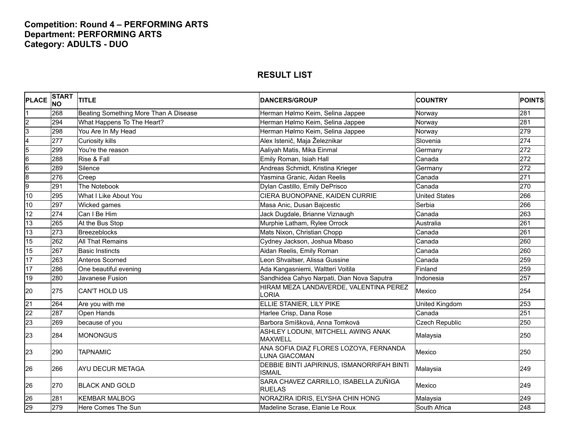## **Competition: Round 4 – PERFORMING ARTS Department: PERFORMING ARTS Category: ADULTS - DUO**

| <b>PLACE</b>    | <b>START</b><br><b>NO</b> | <b>TITLE</b>                          | <b>IDANCERS/GROUP</b>                                          | <b>COUNTRY</b>        | <b>POINTS</b> |
|-----------------|---------------------------|---------------------------------------|----------------------------------------------------------------|-----------------------|---------------|
|                 | 268                       | Beating Something More Than A Disease | Herman Hølmo Keim, Selina Jappee                               | Norway                | 281           |
| $\overline{2}$  | 294                       | What Happens To The Heart?            | Herman Hølmo Keim, Selina Jappee                               | Norway                | 281           |
| $\overline{3}$  | 298                       | You Are In My Head                    | Herman Hølmo Keim, Selina Jappee                               | Norway                | 279           |
| 4               | 277                       | <b>Curiosity kills</b>                | Alex Istenič, Maja Železnikar                                  | Slovenia              | 274           |
| $\overline{5}$  | 299                       | You're the reason                     | Aaliyah Matis, Mika Einmal                                     | Germany               | 272           |
| $6\overline{6}$ | 288                       | Rise & Fall                           | Emily Roman, Isiah Hall                                        | Canada                | 272           |
| $6\overline{6}$ | 289                       | Silence                               | Andreas Schmidt, Kristina Krieger                              | Germany               | 272           |
| $\overline{8}$  | 276                       | Creep                                 | Yasmina Granic, Aidan Reelis                                   | Canada                | 271           |
| 9               | 291                       | The Notebook                          | Dylan Castillo, Emily DePrisco                                 | Canada                | 270           |
| 10              | 295                       | What I Like About You                 | CIERA BUONOPANE, KAIDEN CURRIE                                 | <b>United States</b>  | 266           |
| 10              | 297                       | Wicked games                          | Masa Anic, Dusan Bajcestic                                     | Serbia                | 266           |
| 12              | 274                       | Can I Be Him                          | Jack Dugdale, Brianne Viznaugh                                 | Canada                | 263           |
| 13              | 265                       | At the Bus Stop                       | Murphie Latham, Rylee Orrock                                   | Australia             | 261           |
| 13              | 273                       | <b>Breezeblocks</b>                   | Mats Nixon, Christian Chopp                                    | Canada                | 261           |
| 15              | 262                       | <b>All That Remains</b>               | Cydney Jackson, Joshua Mbaso                                   | Canada                | 260           |
| 15              | 267                       | <b>Basic Instincts</b>                | Aidan Reelis, Emily Roman                                      | Canada                | 260           |
| 17              | 263                       | Anteros Scorned                       | Leon Shvaitser, Alissa Gussine                                 | Canada                | 259           |
| 17              | 286                       | One beautiful evening                 | Ada Kangasniemi, Waltteri Voitila                              | Finland               | 259           |
| 19              | 280                       | Javanese Fusion                       | Sandhidea Cahyo Narpati, Dian Nova Saputra                     | Indonesia             | 257           |
| 20              | 275                       | <b>CAN'T HOLD US</b>                  | HIRAM MEZA LANDAVERDE, VALENTINA PEREZ<br>LORIA                | Mexico                | 254           |
| $\overline{21}$ | 264                       | Are you with me                       | ELLIE STANIER, LILY PIKE                                       | United Kingdom        | 253           |
| $\overline{22}$ | 287                       | Open Hands                            | Harlee Crisp, Dana Rose                                        | Canada                | 251           |
| 23              | 269                       | because of you                        | Barbora Smíšková, Anna Tomková                                 | <b>Czech Republic</b> | 250           |
| 23              | 284                       | <b>MONONGUS</b>                       | ASHLEY LODUNI, MITCHELL AWING ANAK<br><b>MAXWELL</b>           | Malaysia              | 250           |
| 23              | 290                       | <b>TAPNAMIC</b>                       | ANA SOFIA DIAZ FLORES LOZOYA, FERNANDA<br><b>LUNA GIACOMAN</b> | Mexico                | 250           |
| 26              | 266                       | <b>AYU DECUR METAGA</b>               | DEBBIE BINTI JAPIRINUS, ISMANORRIFAH BINTI<br><b>ISMAIL</b>    | Malaysia              | 249           |
| 26              | 270                       | <b>BLACK AND GOLD</b>                 | SARA CHAVEZ CARRILLO, ISABELLA ZUÑIGA<br><b>RUELAS</b>         | Mexico                | 249           |
| 26              | 281                       | <b>KEMBAR MALBOG</b>                  | NORAZIRA IDRIS, ELYSHA CHIN HONG                               | Malaysia              | 249           |
| 29              | 279                       | Here Comes The Sun                    | Madeline Scrase, Elanie Le Roux                                | South Africa          | 248           |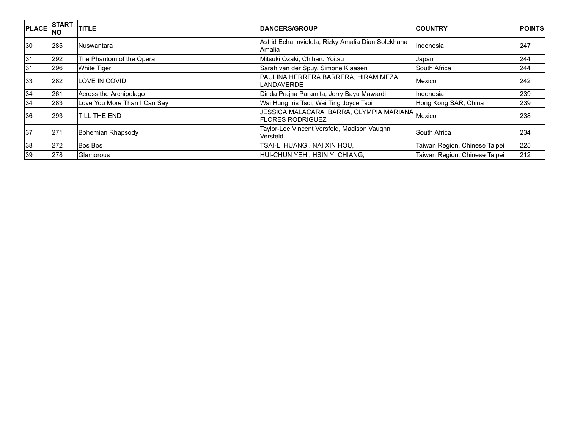| <b>PLACE</b> | <b>START</b><br>INO | <b>TITLE</b>                 | <b>IDANCERS/GROUP</b>                                                | <b>ICOUNTRY</b>               | <b>POINTS</b> |
|--------------|---------------------|------------------------------|----------------------------------------------------------------------|-------------------------------|---------------|
| 30           | 285                 | lNuswantara                  | Astrid Echa Invioleta, Rizky Amalia Dian Solekhaha<br>Amalia         | <b>Indonesia</b>              | 247           |
| 31           | 292                 | The Phantom of the Opera     | Mitsuki Ozaki, Chiharu Yoitsu                                        | Japan                         | 244           |
| 31           | 296                 | <b>White Tiger</b>           | Sarah van der Spuy, Simone Klaasen                                   | South Africa                  | 244           |
| 33           | 282                 | LOVE IN COVID                | PAULINA HERRERA BARRERA, HIRAM MEZA<br>_ANDAVERDE                    | Mexico                        | 242           |
| 34           | 261                 | Across the Archipelago       | Dinda Prajna Paramita, Jerry Bayu Mawardi                            | Indonesia                     | 239           |
| 34           | 283                 | Love You More Than I Can Say | Wai Hung Iris Tsoi, Wai Ting Joyce Tsoi                              | Hong Kong SAR, China          | 239           |
| 36           | 293                 | <b>TILL THE END</b>          | JJESSICA MALACARA IBARRA, OLYMPIA MARIANA Mexico<br>FLORES RODRIGUEZ |                               | 238           |
| 37           | 271                 | Bohemian Rhapsody            | Taylor-Lee Vincent Versfeld, Madison Vaughn<br>Versfeld              | South Africa                  | 234           |
| 38           | 272                 | <b>Bos Bos</b>               | TSAI-LI HUANG,, NAI XIN HOU,                                         | Taiwan Region, Chinese Taipei | 225           |
| 39           | 278                 | <b>Glamorous</b>             | HUI-CHUN YEH,, HSIN YI CHIANG,                                       | Taiwan Region, Chinese Taipei | 212           |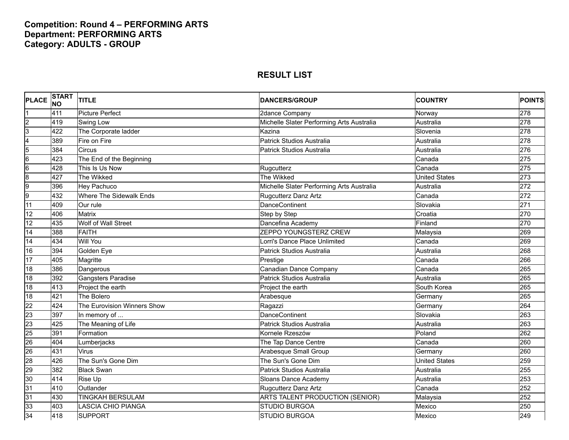## **Competition: Round 4 – PERFORMING ARTS Department: PERFORMING ARTS Category: ADULTS - GROUP**

| <b>PLACE</b>            | <b>START</b><br><b>NO</b> | <b>TITLE</b>                | <b>DANCERS/GROUP</b>                      | <b>COUNTRY</b>       | <b>POINTS</b> |
|-------------------------|---------------------------|-----------------------------|-------------------------------------------|----------------------|---------------|
|                         | 411                       | <b>Picture Perfect</b>      | 2dance Company                            | Norway               | 278           |
| $\overline{c}$          | 419                       | Swing Low                   | Michelle Slater Performing Arts Australia | Australia            | 278           |
| $\overline{3}$          | 422                       | The Corporate ladder        | Kazina                                    | Slovenia             | 278           |
| $\overline{\mathbf{4}}$ | 389                       | Fire on Fire                | <b>Patrick Studios Australia</b>          | Australia            | 278           |
| $\overline{5}$          | 384                       | Circus                      | Patrick Studios Australia                 | Australia            | 276           |
| $6\overline{6}$         | 423                       | The End of the Beginning    |                                           | Canada               | 275           |
| $6\overline{6}$         | 428                       | This Is Us Now              | Rugcutterz                                | Canada               | 275           |
| $\overline{8}$          | 427                       | The Wikked                  | The Wikked                                | <b>United States</b> | 273           |
| 9                       | 396                       | <b>Hey Pachuco</b>          | Michelle Slater Performing Arts Australia | Australia            | 272           |
| 9                       | 432                       | Where The Sidewalk Ends     | <b>Rugcutterz Danz Artz</b>               | Canada               | 272           |
| 11                      | 409                       | Our rule                    | <b>DanceContinent</b>                     | Slovakia             | 271           |
| 12                      | 406                       | <b>Matrix</b>               | Step by Step                              | Croatia              | 270           |
| 12                      | 435                       | Wolf of Wall Street         | Dancefina Academy                         | Finland              | 270           |
| 14                      | 388                       | <b>FAITH</b>                | ZEPPO YOUNGSTERZ CREW                     | Malaysia             | 269           |
| 14                      | 434                       | <b>Will You</b>             | Lorri's Dance Place Unlimited             | Canada               | 269           |
| 16                      | 394                       | Golden Eye                  | Patrick Studios Australia                 | Australia            | 268           |
| 17                      | 405                       | Magritte                    | Prestige                                  | Canada               | 266           |
| 18                      | 386                       | Dangerous                   | Canadian Dance Company                    | Canada               | 265           |
| $\overline{18}$         | 392                       | Gangsters Paradise          | <b>Patrick Studios Australia</b>          | Australia            | 265           |
| 18                      | 413                       | Project the earth           | Project the earth                         | South Korea          | 265           |
| 18                      | 421                       | The Bolero                  | Arabesque                                 | Germany              | 265           |
| 22                      | 424                       | The Eurovision Winners Show | Ragazzi                                   | Germany              | 264           |
| 23                      | 397                       | In memory of                | <b>DanceContinent</b>                     | Slovakia             | 263           |
| 23                      | 425                       | The Meaning of Life         | <b>Patrick Studios Australia</b>          | Australia            | 263           |
| 25                      | 391                       | Formation                   | Kornele Rzeszów                           | Poland               | 262           |
| 26                      | 404                       | Lumberjacks                 | The Tap Dance Centre                      | Canada               | 260           |
| 26                      | 431                       | Virus                       | Arabesque Small Group                     | Germany              | 260           |
| 28                      | 426                       | The Sun's Gone Dim          | The Sun's Gone Dim                        | <b>United States</b> | 259           |
| 29                      | 382                       | <b>Black Swan</b>           | <b>Patrick Studios Australia</b>          | Australia            | 255           |
| 30                      | 414                       | Rise Up                     | Sloans Dance Academy                      | Australia            | 253           |
| 31                      | 410                       | Outlander                   | Rugcutterz Danz Artz                      | Canada               | 252           |
| 31                      | 430                       | <b>TINGKAH BERSULAM</b>     | ARTS TALENT PRODUCTION (SENIOR)           | Malaysia             | 252           |
| 33                      | 403                       | <b>LASCIA CHIO PIANGA</b>   | <b>STUDIO BURGOA</b>                      | Mexico               | 250           |
| 34                      | 418                       | <b>SUPPORT</b>              | <b>STUDIO BURGOA</b>                      | Mexico               | 249           |